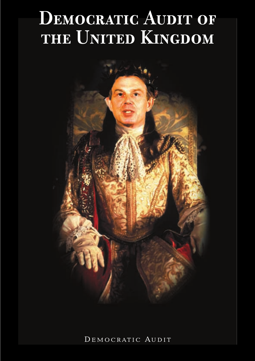# DEMOCRATIC AUDIT OF THE UNITED KINGDOM



DEMOCRATIC AUDIT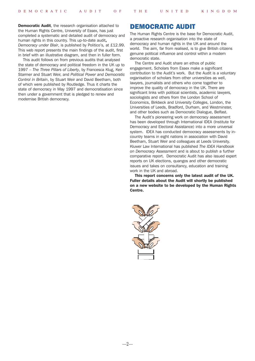Democratic Audit, the research organisation attached to the Human Rights Centre, University of Essex, has just completed a systematic and detailed audit of democracy and human rights in this country. This up-to-date audit, *Democracy under Blair*, is published by Politico's, at £12.99. This web report presents the main findings of the audit, first in brief with an illustrative diagram, and then in fuller form.

This audit follows on from previous audits that analysed the state of democracy and political freedom in the UK up to 1997 – *The Three Pillars of Liberty*, by Francesca Klug, Keir Starmer and Stuart Weir, and *Political Power and Democratic Control in Britain*, by Stuart Weir and David Beetham, both of which were published by Routledge. Thus it charts the state of democracy in May 1997 and democratisation since then under a government that is pledged to renew and modernise British democracy.

# DEMOCRATIC AUDIT

The Human Rights Centre is the base for Democratic Audit, a proactive research organisation into the state of democracy and human rights in the UK and around the world. The aim, far from realised, is to give British citizens genuine political influence and control within a modern democratic state.

The Centre and Audit share an ethos of public engagement. Scholars from Essex make a significant contribution to the Audit's work. But the Audit is a voluntary organisation of scholars from other universities as well, lawyers, journalists and others who come together to improve the quality of democracy in the UK. There are significant links with political scientists, academic lawyers, sociologists and others from the London School of Economics, Birkbeck and University Colleges, London, the Universities of Leeds, Bradford, Durham, and Westminster, and other bodies such as Democratic Dialogue, Belfast.

The Audit's pioneering work on democracy assessment has been developed through International IDEA (Institute for Democracy and Electoral Assistance) into a more universal system. IDEA has conducted democracy assessments by incountry teams in eight nations in association with David Beetham, Stuart Weir and colleagues at Leeds University. Kluwer Law International has published *The IDEA Handbook on Democracy Assessment* and is about to publish a further comparative report. Democratic Audit has also issued expert reports on UK elections, quangos and other democratic issues and takes on consultancy, education and training work in the UK and abroad.

This report concerns only the latest audit of the UK. Fuller details about the Audit will shortly be published on a new website to be developed by the Human Rights Centre.

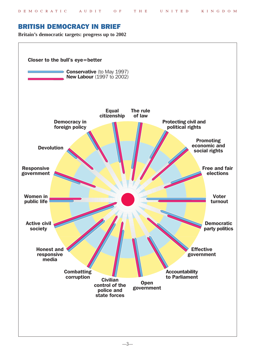# BRITISH DEMOCRACY IN BRIEF

**Britain's democratic targets: progress up to 2002**

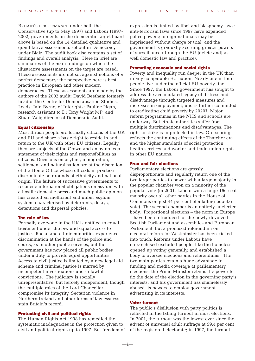BRITAIN'S PERFORMANCE under both the Conservative (up to May 1997) and Labour (1997- 2002) governments on the democratic target board above is based on the 14 detailed qualitative and quantitative assessments set out in Democracy under Blair. The audit book also contains a set of findings and overall analysis. Here in brief are summaries of the main findings on which the illustrative assessments on the target are based. These assessments are not set against notions of a perfect democracy; the perspective here is best practice in European and other modern democracies. These assessments are made by the authors of the 2002 audit: David Beetham formerly head of the Centre for Democratisation Studies, Leeds: Iain Byrne, of Interights: Pauline Ngan, research assistant to Dr Tony Wright MP; and Stuart Weir, director of Democratic Audit.

#### Equal citizenship

Most British people are formally citizens of the UK and EU and share a basic right to reside in and return to the UK with other EU citizens. Legally they are subjects of the Crown and enjoy no legal statement of their rights and responsibilities as citizens. Decisions on asylum, immigration, settlement and naturalisation are at the discretion of the Home Office whose officials in practice discriminate on grounds of ethnicity and national origin. The failure of successive governments to reconcile international obligations on asylum with a hostile domestic press and much public opinion has created an inefficient and unfair asylum system, characterised by deterrents, delays, detentions and dispersal policies.

#### The rule of law

Formally everyone in the UK is entitled to equal treatment under the law and equal access to justice. Racial and ethnic minorities experience discrimination at the hands of the police and courts, as in other public services, but the government has now placed all public bodies under a duty to provide equal opportunities. Access to civil justice is limited by a new legal aid scheme and criminal justice is marred by incompetent investigations and unlawful convictions. The judiciary is socially unrepresentative, but fiercely independent, though the multiple roles of the Lord Chancellor compromise its integrity. Sectarian violence in Northern Ireland and other forms of lawlessness stain Britain's record.

#### Protecting civil and political rights

The Human Rights Act 1998 has remedied the systematic inadequacies in the protection given to civil and political rights up to 1997. But freedom of expression is limited by libel and blasphemy laws; anti-terrorism laws since 1997 have expanded police powers; foreign nationals may be imprisoned without charge or trial; and the government is gradually accruing greater powers of surveillance (through the EU [delete and] as well domestic law and practice).

#### Promoting economic and social rights

Poverty and inequality run deeper in the UK than in any comparable EU nation. Nearly one in four people live under the official EU poverty line. Since 1997, the Labour government has sought to address the accumulated legacy of distress and disadvantage through targeted measures and increases in employment; and is further committed to eradicating child poverty by 2020? Major reform programmes in the NHS and schools are underway. But ethnic minorities suffer from multiple discriminations and disadvantages. The right to strike is unprotected in law. Our scoring reflects the continuing effects of the Thatcher era and the higher standards of social protection, health services and worker and trade-union rights in other EU nations.

#### Free and fair elections

Parliamentary elections are grossly disproportionate and regularly return one of the two larger parties to power with a large majority in the popular chamber won on a minority of the popular vote (in 2001, Labour won a huge 166-seat majority over all other parties in the House of Commons on just 44 per cent of a falling popular vote). The second chamber is an entirely unelected body. Proportional elections – the norm in Europe – have been introduced for the newly-devolved Scottish Parliament and assemblies and European Parliament, but a promised referendum on electoral reform for Westminster has been kicked into touch. Reforms under Labour have enfranchised excluded people, like the homeless, opened up voting generally, and established a body to oversee elections and referendums. The two main parties retain a huge advantage in funding and media coverage at parliamentary elections; the Prime Minister retains the power to fix the date of the election in the governing party's interests; and his government has shamelessly abused its powers to employ government advertising in its interests.

#### Voter turnout

—4—

The public's disillusion with party politics is reflected in the falling turnout in most elections. In 2001, the turnout was the lowest ever since the advent of universal adult suffrage at 59.4 per cent of the registered electorate; in 1997, the turnout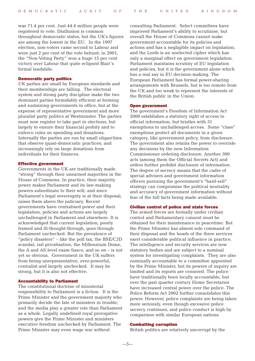was 71.4 per cent. Just 44.4 million people were registered to vote. Disillusion is common throughout democratic states, but the UK's figures are among the lowest in the EU. In the 1997 election, non-voters came second to Labour and were just 2 per cent of the vote behind; in 2001, the "Non-Voting Party" won a huge 15 per cent victory over Labour that quite eclipsed Blair's formal landslide.

#### Democratic party politics

UK parties are small by European standards and their memberships are falling. The electoral system and strong party discipline make the two dominant parties formidably efficient at forming and sustaining governments in office, but at the expense of representative government and more pluralist party politics at Westminster. The parties must now register to take part in elections, but largely to ensure their financial probity and to enforce rules on spending and donations. Internally the parties are run by small oligarchies that observe quasi-democratic practices; and increasingly rely on large donations from individuals for their finances.

#### Effective government

Governments in the UK are traditionally made "strong" through their unearned majorities in the House of Commons. In practice, their majority power makes Parliament and its law-making powers subordinate to their will; and since Parliament's legal sovereignty is at their disposal. raises them above the judiciary. Recent governments have centralised power and their legislation, policies and actions are largely unchallenged in Parliament and elsewhere. It is acknowledged that current legislation, poorly framed and ill-thought-through, goes through Parliament unchecked. But the prevalence of "policy disasters" – like the poll tax, the BSE/CJD scandal, rail privatisation, the Millennium Dome, the A and AS level exam fiasco, and so on – is not yet so obvious. Government in the UK suffers from being unrepresentative, over-powerful, centralist and largely unchecked. It may be strong, but it is also not effective.

#### Accountability to Parliament

The constitutional doctrine of ministerial responsibility to Parliament is a fiction. It is the Prime Minister and the government majority who primarily decide the fate of ministers in trouble; and the media play a greater role than Parliament as a whole. Legally undefined royal prerogative powers give the Prime Minister and ministers executive freedom unchecked by Parliament. The Prime Minister may even wage war without

consulting Parliament. Select committees have improved Parliament's ability to scrutinise, but overall the House of Commons cannot make government accountable for its policies and actions and has a negligible impact on legislation; and the Lords is an unelected cipher which has only a marginal effect on government legislation. Parliament maintains scrutiny of EU legislation and policies, but it is the government alone which has a real say in EU decision-making. The European Parliament has formal power-sharing arrangements with Brussels, but is too remote from the UK and too weak to represent the interests of the British public in the Union.

#### Open government

The government's Freedom of Information Act 2000 establishes a statutory right of access to official information, but bristles with 31 exemptions to unchallenged access. Some "class" exemptions protect all documents in a given category, like government policy, from disclosure. The government also retains the power to override any decisions by the new Information Commissioner ordering disclosure. Another 300 acts (among them the Official Secrets Act) and orders further prohibit disclosure of information. The degree of secrecy means that the cadre of special advisers and government information officers pursuing the government's "hard-sell" strategy can compromise the political neutrality and accuracy of government information without fear of the full facts being made available.

#### Civilian control of police and state forces

The armed forces are formally under civilian control and Parliamentary consent must be obtained for their maintenance in peacetime. But the Prime Minister has almost sole command of their disposal and the heads of the three services exert considerable political influence in practice. The intelligence and security services are now statutory bodies and are subject to a nominal system for investigating complaints. They are also nominally accountable to a committee appointed by the Prime Minister, but its powers of inquiry are limited and its reports are censored. The police have traditionally been locally accountable, but over the past quarter century Home Secretaries have increased central power over the police. The Police Reform Act 2002 further consolidates this power. However, police complaints are being taken more seriously, even though excessive police secrecy continues, and police conduct is high by comparison with similar European nations.

#### Combatting corruption

British politics are relatively uncorrupt by the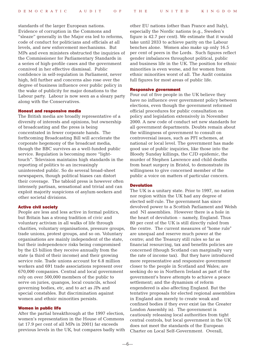standards of the larger European nations. Evidence of corruption in the Commons and "sleaze" generally in the Major era led to reforms, code of conduct for politicians and officials at all levels, and new enforcement mechanisms. But MPs and even ministers obstructed the inquiries of the Commissioner for Parliamentary Standards in a series of high-profile cases and the government connived in her effective dismissal. Public confidence in self-regulation in Parliament, never high, fell further and concerns also rose over the degree of business influence over public policy in the wake of publicity for major donations to the Labour party. Labour is now seen as a sleazy party along with the Conservatives.

#### Honest and responsive media

The British media are broadly representative of a diversity of interests and opinions, but ownership of broadcasting and the press is being concentrated in fewer corporate hands. The forthcoming Broadcasting Bill will accelerate the corporate hegemony of the broadcast media, though the BBC survives as a well-funded public service. Regulation is becoming more "lighttouch". Television maintains high standards in the reporting of politics to an increasingly uninterested public. So do several broad-sheet newspapers, though political biases can distort their coverage. The tabloid press is however often intensely partisan, sensational and trivial and can exploit majority suspicions of asylum-seekers and other societal divisions.

#### Active civil society

People are less and less active in formal politics, but Britain has a strong tradition of civic and voluntary activism in all walks of life through charities, voluntary organisations, pressure groups, trade unions, protest groups, and so on. Voluntary organisations are mainly independent of the state, but their independence risks being compromised by the £5 billion they receive annually from the state (a third of their income) and their growing service role. Trade unions account for 6.8 million workers and 691 trade associations represent over 670,000 companies. Central and local government rely on over 500,000 members of the public to serve on juries, quangos, local councils, school governing bodies, etc, and to act as JPs and special constables. But discrimination against women and ethnic minorities persists.

#### Women in public life

After the partial breakthrough at the 1997 election, women's representation in the House of Commons (at 17.9 per cent of all MPs in 2001) far exceeds previous levels in the UK, but compares badly with other EU nations (other than France and Italy), especially the Nordic nations (e.g., Sweden's figure is 42.7 per cent). We estimate that it would take until 2033 to achieve parity on the Labour benches alone. Women also make up only 16.5 per cent of peers in the Lords. Such figures reflect gender imbalances throughout political, public and business life in the UK. The position for ethnic minorities is even worse, and for women from ethnic minorities worst of all. The Audit contains full figures for most areas of public life.

### Responsive government

Four out of five people in the UK believe they have no influence over government policy between elections, even though the government reformed official procedures for public consultation on policy and legislation extensively in November 2000. A new code of conduct set new standards for all government departments. Doubts remain about the willingness of government to consult on controversial issues, such as PFI schemes, at national or local level. The government has made good use of public inquiries, like those into the Bloody Sunday killings, the CJD epidemic, the murder of Stephen Lawrence and child deaths from heart surgery in Bristol, to demonstrate its willingness to give concerned member of the public a voice on matters of particular concern.

#### Devolution

The UK is a unitary state. Prior to 1997, no nation nor region within the UK had any degree of elected self-rule. The government has since devolved power to a Scottish Parliament and Welsh and NI assemblies. However there is a hole in the heart of devolution – namely, England. Thus 80 per cent of the UK is still directly ruled from the centre. The current measures of "home rule" are unequal and reserve much power at the centre; and the Treasury still rules so far as financial resourcing, tax and benefits policies are concerned (though Scotland can marginally vary the rate of income tax). But they have introduced more representative and responsive government closer to the people in Scotland and Wales; are seeking do so in Northern Ireland as part of the government's brave attempts to achieve a peace settlement; and the dynamism of reform engendered is also affecting England. But the tentative proposals for elected regional assemblies in England aim merely to create weak and confined bodies if they ever exist (as the Greater London Assembly is). The government is cautiously releasing local authorities from tight central controls, but local government in the UK does not meet the standards of the European Charter on Local Self-Government. Overall,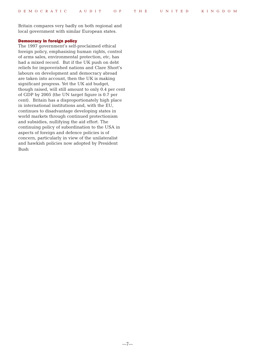Britain compares very badly on both regional and local government with similar European states.

#### Democracy in foreign policy

The 1997 government's self-proclaimed ethical foreign policy, emphasising human rights, control of arms sales, environmental protection, etc, has had a mixed record. But if the UK push on debt reliefs for impoverished nations and Clare Short's labours on development and democracy abroad are taken into account, then the UK is making significant progress. Yet the UK aid budget, though raised, will still amount to only 0.4 per cent of GDP by 2005 (the UN target figure is 0.7 per cent). Britain has a disproportionately high place in international institutions and, with the EU, continues to disadvantage developing states in world markets through continued protectionism and subsidies, nullifying the aid effort. The continuing policy of subordination to the USA in aspects of foreign and defence policies is of concern, particularly in view of the unilateralist and hawkish policies now adopted by President Bush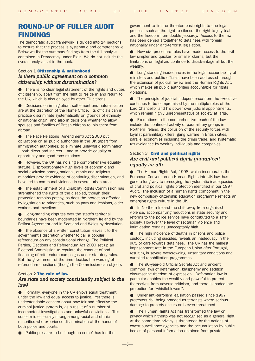# ROUND-UP OF FULLER AUDIT FINDINGS

The democratic audit framework is divided into 14 sections to ensure that the process is systematic and comprehensive. Below we list the summary findings from the full analysis contained in Democracy under Blair. We do not include the overall analysis set in the book.

# Section 1 Citizenship & nationhood *Is there public agreement on a common citizenship without discrimination?*

● There is no clear legal statement of the rights and duties of citizenship, apart from the right to reside in and return to the UK, which is also enjoyed by other EU citizens.

Decisions on immigration, settlement and naturalisation are at the discretion of the Home Office. Its officials can in practice discriminate systematically on grounds of ethnicity or national origin, and also in decisions whether to allow spouses and families of British citizens to join them from abroad.

● The Race Relations (Amendment) Act 2000 put obligations on all public authorities in the UK (apart from immigration authorities) to eliminate unlawful discrimination – both direct and indirect – and to provide equality of opportunity and good race relations.

● However, the UK has no single comprehensive equality statute. Disproportionately high levels of economic and social exclusion among national, ethnic and religious minorities provide evidence of continuing discrimination, and have led to communal violence in several urban areas.

● The establishment of a Disability Rights Commission has strengthened the rights of the disabled, though their protection remains patchy, as does the protection afforded by legislation to minorities, such as gays and lesbians, older workers and travellers.

● Long-standing disputes over the state's territorial boundaries have been moderated in Northern Ireland by the Belfast Agreement and in Scotland and Wales by devolution.

The absence of a written constitution leaves it to the government's discretion whether to call a popular referendum on any constitutional change. The Political Parties, Elections and Referendum Act 2000 set up an Electoral Commission to regulate the conduct of and financing of referendum campaigns under statutory rules. But the government of the time decides the wording of referendum questions (though the Commission can object).

# Section 2 The rule of law *Are state and society consistently subject to the law?*

● Formally, everyone in the UK enjoys equal treatment under the law and equal access to justice. Yet there is understandable concern about how fair and effective the criminal justice system is, as a result of a number of incompetent investigations and unlawful convictions. This concern is especially strong among racial and ethnic minorities who experience discrimination at the hands of both police and courts.

Public pressure to be "tough on crime" has led the

government to limit or threaten basic rights to due legal process, such as the right to silence, the right to jury trial and the freedom from double jeopardy. Access to the law has been denied altogether to detainees with foreign nationality under anti-terrorist legislation.

New civil procedure rules have made access to the civil law simpler and quicker for smaller claims, but the limitations on legal aid continue to disadvantage all but the wealthy.

● Long-standing inadequacies in the legal accountability of ministers and public officials have been addressed through the extension of judicial review and the Human Rights Act, which makes all public authorities accountable for rights violations.

● The principle of judicial independence from the executive continues to be compromised by the multiple roles of the Lord Chancellor and his power over judicial appointments, which remain highly unrepresentative of society at large.

● Exemptions to the comprehensive reach of the law include the continued activity of paramilitary groups in Northern Ireland, the collusion of the security forces with loyalist paramilitary killers, gang warfare in British cities, parallel economies including the drugs trade, and systematic tax avoidance by wealthy individuals and companies.

# Section 3 Civil and political rights *Are civil and political rights guaranteed equally for all?*

● The Human Rights Act, 1998, which incorporates the European Convention on Human Rights into UK law, has gone a long way to remedying the systematic inadequacies of civil and political rights protection identified in our 1997 Audit. The inclusion of a human rights component in the new compulsory citizenship education programme reflects an emerging rights culture in the UK.

**• In Northern Ireland the shift away from organised** violence, accompanying reductions in state security and reforms to the police service have contributed to a safer society. However the level of sectarian violence and intimidation remains unacceptably high.

**•** The high incidence of deaths in prisons and police custody, including suicides, reveals an inadequacy in the duty of care towards detainees. The UK has the highest imprisonment rate in the European Union after Portugal, resulting in severe overcrowding, unsanitary conditions and curtailed rehabilitation programmes.

The 90-year-old Official Secrets Act and ancient common laws of defamation, blasphemy and sedition circumscribe freedom of expression. Defamation law in particular enables the wealthy and powerful to protect themselves from adverse criticism, and there is inadequate protection for "whistleblowers".

● Under anti-terrorism legislation passed since 1997 protesters risk being branded as terrorists where serious damage to property occurs or is even threatened.

● The Human Rights Act has transformed the law on privacy which hitherto was not recognised as a general right. At the same time privacy is threatened by the actions of covert surveillance agencies and the accumulation by public bodies of personal information obtained from private

—8—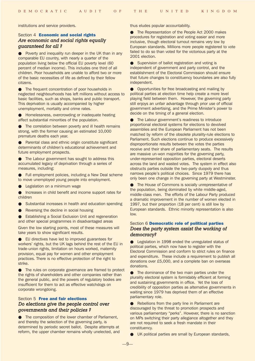institutions and service providers.

# Section 4 **Economic and social rights** *Are economic and social rights equally guaranteed for all ?*

● Poverty and inequality run deeper in the UK than in any comparable EU country, with nearly a quarter of the population living below the official EU poverty level (60 percent of median income). This includes one third of all children. Poor households are unable to afford two or more of the basic necessities of life as defined by their fellow citizens.

● The frequent concentration of poor households in neglected neighbourhoods has left millions without access to basic facilities, such as shops, banks and public transport. This deprivation is usually accompanied by higher unemployment, mortality and crime rates.

Homelessness, overcrowding or inadequate heating affect substantial minorities of the population.

The correlation between poverty and ill health remains strong, with the former causing an estimated 10,000 premature deaths each year.

Parental class and ethnic origin constitute significant determinants of children's educational achievement and future employment prospects.

The Labour government has sought to address this accumulated legacy of deprivation through a series of measures, including:

● Full employment policies, including a New Deal scheme to move unemployed young people into employment.

Legislation on a minimum wage

Increases in child benefit and income support rates for children

- Substantial increases in health and education spending
- Reversing the decline in social housing

**Establishing a Social Exclusion Unit and regeneration** and other special programmes in disadvantaged areas

Given the low starting points, most of these measures will take years to show significant results.

● EU directives have led to improved guarantees for workers' rights, but the UK lags behind the rest of the EU in trade-union rights, limitation on hours worked, maternity provision, equal pay for women and other employment practices. There is no effective protection of the right to strike.

● The rules on corporate governance are framed to protect the rights of shareholders and other companies rather than the general public, and the powers of regulatory bodies are insufficient for them to act as effective watchdogs on corporate wrongdoing.

# Section 5 **Free and fair elections** *Do elections give the people control over governments and their policies ?*

The composition of the lower chamber of Parliament, and thereby the selection of the governing party, is determined by periodic secret ballot. Despite attempts at reform, the upper chamber remains wholly unelected, and thus eludes popular accountability.

● The Representation of the People Act 2000 makes procedures for registration and voting easier and more inclusive, though electoral turnout remains very low by European standards. Millions more people registered to vote failed to do so than voted for the victorious party at the 2001 election.

● Supervision of ballot registration and voting is independent of government and party control, and the establishment of the Electoral Commission should ensure that future changes to constituency boundaries are also fully independent.

● Opportunities for free broadcasting and mailing by political parties at election time help create a more level playing field between them. However, the governing party still enjoys an unfair advantage through prior use of official government advertising, and the Prime Minister's power to decide on the timing of a general election.

● The Labour government's readiness to introduce proportional electoral systems for elections to devolved assemblies and the European Parliament has not been matched by reform of the obsolete plurality-rule elections to Parliament. Such elections continue to produce excessively disproportionate results between the votes the parties receive and their share of parliamentary seats. The results are massive un-won majorities for the governing party, under-represented opposition parties, electoral deserts across the land and wasted votes. The system in effect also obstructs parties outside the two-party duopoly and thus narrows people's political choices. Since 1979 there has only been one change in the governing party at Westminster.

● The House of Commons is socially unrepresentative of the population, being dominated by white middle-aged, middle-class men. The efforts of the Labour Party produced a dramatic improvement in the number of women elected in 1997, but their proportion (18 per cent) is still low by European standards. Ethnic minority representation is also low.

# Section 6 Democratic role of political parties *Does the party system assist the working of democracy?*

● Legislation in 1998 ended the unregulated status of political parties, which now have to register with the Electoral Commission and conform to strict rules on finance and expenditure. These include a requirement to publish all donations over £5,000, and a complete ban on overseas donations.

● The dominance of the two main parties under the plurality electoral system is formidably efficient at forming and sustaining governments in office. Yet the loss of credibility of opposition parties as alternative governments in waiting since 1979 has deprived them of an effective parliamentary role.

● Rebellions from the party line in Parliament are discouraged by the threat to promotion prospects and various parliamentary "perks". However, there is no sanction on MPs switching their party allegiance altogether and they are not required to seek a fresh mandate in their constituency.

UK political parties are small by European standards,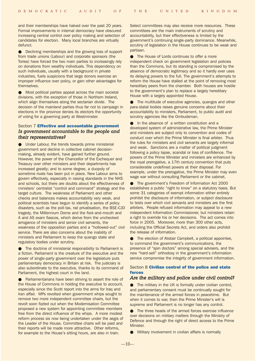and their memberships have halved over the past 20 years. Formal improvements in internal democracy have obscured increasing central control over policy making and selection of candidates for election. Many local branches are virtually defunct.

Declining memberships and the growing loss of support from trade unions (Labour) and corporate sponsors (the Tories) have forced the two main parties to increasingly rely on donations from wealthy individuals. This dependency on such individuals, usually with a background in private industries, fuels suspicions that large donors exercise an improper influence over policy, or gain other advantages for themselves.

● Most political parties appeal across the main societal divisions, with the exception of those in Northern Ireland, which align themselves along the sectarian divide. The decision of the mainland parties thus far not to campaign in elections in the province denies its electors the opportunity of voting for a governing party at Westminster.

# Section 7 Effective and accountable government *Is government accountable to the people and their representatives?*

Under Labour, the trends towards prime ministerial government and decline in collective cabinet decisionmaking, already evident, have gained further ground. However, the power of the Chancellor of the Exchequer and Treasury over other ministers and their departments has increased greatly; and to some degree, a duopoly of sometime rivals has been put in place. New Labour aims to govern effectively, especially in raising standards in the NHS and schools, but there are doubts about the effectiveness of ministers' centralist "control and command" strategy and the target culture. The weakness of Parliament and other checks and balances makes accountability very weak, and political scientists have begun to identify a series of policy disasters, such as the poll-tax, rail privatisation, the BSE-CJD tragedy, the Millennium Dome and the foot-and-mouth and A and AS exam fiascos, which derive from the unchecked arrogance of ministers and senior civil servants, the weakness of the opposition parties and a "hollowed-out" civil service. There are also concerns about the inability of ministers and Parliament to keep the quango state and regulatory bodies under scrutiny.

● The doctrine of ministerial responsibility to Parliament is a fiction. Parliament is the creature of the executive and the power of single-party government over the legislature puts parliamentary democracy in Britain at risk. The judiciary is also subordinate to the executive, thanks to its command of Parliament, the highest court in the land.

Parliamentarians have been striving to assert the role of the House of Commons in holding the executive to account, especially since the Scott report into the arms for Iraq and Iran affair. MPs revolted when government whips sought to remove two more independent committee chairs, but the revolt soon fizzled out when the Modernisation Committee proposed a new system for appointing committee members free from the direct influence of the whips. A more modest reform process sis now being undertaken under the aegis of the Leader of the House. Committee chairs will be paid and their reports will be made more attractive. Other reforms, for example to the House's sitting hours, are also in train.

Select committees may also receive more resources. These committees are the main instruments of scrutiny and accountability, but their effectiveness is limited by the government's continuing single-party dominance. Meanwhile, scrutiny of legislation in the House continues to be weak and partisan.

● The House of Lords continues to offer a more independent check on government legislation and policies than the Commons, but its standing is compromised by the absence of democratic legitimacy and so it hardly ever uses its delaying powers to the full. The government's attempts to reform the House have stalled at the point of removing most hereditary peers from the chamber. Both houses are hostile to the government's plan to replace a largely hereditary House with a largely appointed House.

● The multitude of executive agencies, quangos and other para-statal bodies raises genuine concerns about their accountability to ministers, Parliament, to public audit and scrutiny agencies like the Ombudsman.

● In the absence of a written constitution and a developed system of administrative law, the Prime Minister and ministers are subject only to convention and codes of conduct over which the Prime Minister is final arbiter. Thus the rules for ministers and civil servants are largely informal and weak. Sanctions are a matter of political judgment following a policy lapse, scandal or loss of confidence. The powers of the Prime Minister and ministers are enhanced by the royal prerogative, a 17th century convention that puts considerable undefined powers at their disposal. For example, under the prerogative, the Prime Minister may even wage war without consulting Parliament or the cabinet.

● The government's Freedom of Information Act 2000 establishes a public "right to know" on a statutory basis. But some 31 categories of exempt information either entirely prohibit the disclosure of information, or subject disclosure to tests over which civil servants and ministers are the first arbiters. People refused information may appeal to a new independent Information Commissioner, but ministers retain a right to override his or her decisions. The act comes into force in 2005. Moreover, more than 300 other acts, including the Official Secrets Act, and orders also prohibit the release of information.

● The election of Alistair Campbell, a political appointee, to command the government's communications, the presence of "spin doctors" among special advisers, and the new "hard-sell" orthodoxy in the government's information service compromise the integrity of government information.

#### Section 8 Civilian control of the police and state forces

## *Are the military and police under civil control?*

● The military in the UK is formally under civilian control, and parliamentary consent must be continually sought for the maintenance of the armed forces in peacetime. But when it comes to war, then the Prime Minister's will is supreme and Parliament is no longer has any control.

● The three heads of the armed forces exercise influence over decisions on military matters through the Ministry of Defence and through the right of direct access to the Prime Minister.

Military involvement in civilian affairs is normally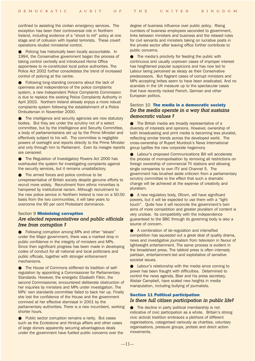confined to assisting the civilian emergency services. The exception has been their controversial role in Northern Ireland, including evidence of a "shoot to kill" policy at one stage and of collusion with loyalist terrorists. These covert operations eluded ministerial control.

Policing has historically been locally accountable. In 1994, the Conservative government began the process of taking control centrally and introduced Home Office appointees to re-constituted local police authorities. The Police Act 2002 further consolidates the trend of increased control of policing at the centre.

● Following long-standing concerns about the lack of openness and independence of the police complaints system, a new Independent Police Complaints Commission is due to replace the existing Police Complaints Authority in April 2003. Northern Ireland already enjoys a more robust complaints system following the establishment of a Police Ombudsman in November 2000.

● The intelligence and security agencies are now statutory bodies. But they are under the scrutiny not of a select committee, but by the Intellligence and Security Committee, a body of parliamentarians set up by the Prime Minister and effectively subject to his will. The committee is negligible powers of oversight and reports directly to the Prime Minister and only through him to Parliament. Even its meagre reports are censored.

The Regulation of Investigatory Powers Act 2000 has overhauled the system for investigating complaints against the security services, but it remains unsatisfactory.

● The armed forces and police continue to be unrepresentative of British society despite genuine efforts to recruit more widely. Recruitment from ethnic minorities is hampered by institutional racism. Although recruitment to the new police service in Northern Ireland is now on a 50:50 basis from the two communities, it will take years to overcome the 90 per cent Protestant dominance.

# Section 9 Minimising corruption *Are elected representatives and public officials free from corruption ?*

● Following corruption among MPs and other "sleaze" under the Major government, there was a marked drop in public confidence in the integrity of ministers and MPs. Since then significant progress has been made in developing codes of conduct for all national and local politicians and public officials, together with stronger enforcement mechanisms.

The House of Commons stiffened its tradition of selfregulation by appointing a Commissioner for Parliamentary Standards. However, the energetic Elizabeth Filkin, the second Commissioner, encountered deliberate obstruction of her inquiries by ministers and MPs under investigation. The MPs' own standards committee failed to back her up. Finally she lost the confidence of the House and the government connived at her effective dismissal in 2001 by the parliamentary authorities. There is a new incumbent, working shorter hours.

● Public sector corruption remains a rarity. But cases such as the Ecclestone and Hinduja affairs and other cases of large donors apparently securing advantageous deals under the government have fuelled public concerns over the

degree of business influence over public policy. Rising numbers of business employees seconded to government, links between ministers and business and the relaxed rules for civil servants and ministers taking on lucrative posts in the private sector after leaving office further contribute to public concerns.

The media's proclivity for feeding the public with continuous and usually unproven cases of improper interest has heightened popular suspicions and has now led to Labour being perceived as sleazy as their Conservative predecessors. But flagrant cases of corrupt ministers and MPs accepting bribes seem to have been eradicated. And no scandals in the UK measure up to the spectacular cases that have recently rocked French, German and other European politics.

# Section 10 The media in a democratic society *Do the media operate in a way that sustains democratic values ?*

● The British media are broadly representative of a diversity of interests and opinions. However, ownership of both broadcasting and print media is becoming less pluralist, reflecting similar trends across the developed world. The cross-ownership of Rupert Murdock's News International group typifies the new corporate hegemony

● Labour's proposed Communications Bill will accelerate the process of monopolisation by removing all restrictions on foreign ownership of commercial TV stations and allowing single companies to own ITV and Channel 5. The government has brushed aside criticism from a parliamentary scrutiny committee to the effect that such a dramatic change will be achieved at the expense of creativity and pluralism.

● A new regulatory body, Ofcom, will have significant powers, but it will be expected to use them with a "light touch". Quite how it will reconcile the government's twin aims of more competition and greater pluralism of content is very unclear. Its compatibility with the independence guaranteed to the BBC through its governing body is also a source of concern.

● A combination of de-regulation and intensified competition has squeezed out a great deal of quality drama, news and investigative journalism from television in favour of lightweight entertainment. The same process is evident in the broadsheet press. The tabloid press is often intensely partisan, entertainment-led and exploitative of sensitive societal issues.

● Labour's relationship with the media since coming to power has been fraught with difficulties. Determined to control the news agenda, Blair and his press secretary, Alistair Campbell, have scaled new heights in media manipulation, including bullying of journalists.

# Section 11 Political participation *Is there full citizen participation in public life?*

● The decline in party political membership is not indicative of civic participation as a whole. Britain's strong civic activist tradition embraces a plethora of different organisations, categorised variously as charities, voluntary organisations, pressure groups, protest and direct action movements.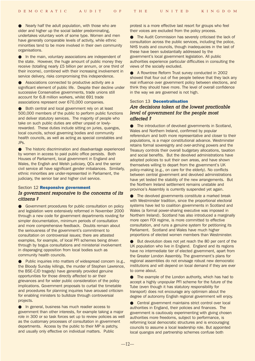● Nearly half the adult population, with those who are older and higher up the social ladder predominating, undertakes voluntary work of some type. Women and men have generally comparable levels of activity, while ethnic minorities tend to be more involved in their own community organisations.

● In the main, voluntary associations are independent of the state. However, the huge amount of public money they receive (totalling nearly £5 billion per annum, or one third of their income), combined with their increasing involvement in service delivery, risks compromising this independence.

● Associations connected to productive activity are a significant element of public life. Despite their decline under successive Conservative governments, trade unions still account for 6.8 million workers, whilst 691 trade associations represent over 670,000 companies.

● Both central and local government rely on at least 500,000 members of the public to perform public functions and deliver statutory services. The majority of people who take on such public duties are either unpaid or lowlyrewarded. These duties include sitting on juries, quangos, local councils, school governing bodies and community health councils, as well as acting as special constables and JPs.

● The historic discrimination and disadvantage experienced by women in access to paid public office persists. Both Houses of Parliament, local government in England and Wales, the English and Welsh judiciary, QCs and the senior civil service all have significant gender imbalances. Similarly, ethnic minorities are under-represented in Parliament, the judiciary, the senior bar and higher civil service.

## Section 12 **Responsive government** *Is government responsive to the concerns of its citizens ?*

● Government procedures for public consultation on policy and legislation were extensively reformed in November 2000 through a new code for government departments roviding for simpler documentation, minimum periods of consultation and more comprehensive feedback. Doubts remain about the seriousness of the government's commitment to consultation on controversial issues; there are attested examples, for example, of local PFI schemes being driven through by bogus consultations and ministerial involvement in disparaging opposition from local bodies such as community health councils.

● Public inquiries into matters of widespread concern (e.g., the Bloody Sunday killings, the murder of Stephen Lawrence, the BSE-CJD tragedy) have generally provided genuine opportunities for those directly affected to air their grievances and for wider public consideration of the policy implications. Government proposals to curtail the timetable and procedures for planning inquiries have aroused criticism for enabling ministers to bulldoze through controversial projects.

In general, business has much readier access to government than other interests, for example taking a major role in 300 or so task forces set up to review policies as well as the customary processes of consultation in government departments. Access by the public to their MP is patchy, and usually only effective on individual matters. Public

protest is a more effective last resort for groups who feel their voices are excluded from the policy process.

● The Audit Commission has severely criticised the lack of consultation across the public services, including the police, NHS trusts and councils, though inadequacies in the last of these have been substantially addressed by the government's local government legislation. All public authorities experience particular difficulties in consulting the views of the socially excluded.

● A Rowntree Reform Trust survey conducted in 2002 showed that four out of five people believe that they lack any real influence over government policy between elections, and think they should have more. The level of overall confidence in the way we are governed is not high.

#### Section 13 **Decentralisation**

# *Are decisions taken at the lowest practicable level of government for the people most affected ?*

● The introduction of devolved governments in Scotland, Wales and Northern Ireland, confirmed by popular referendum and both more representative and closer to their populations, is a major constitutional advance. Westminster retains formal sovereignty and over-arching powers and the Treasury controls their overall budgetary allocations, taxation and social benefits. But the devolved administrations have adopted policies to suit their own areas, and have shown themselves willing to depart from the government's UK policy-making (e.g., on care for the elderly). No conflicts between central government and devolved administrations have yet tested the stability of the new arrangements. But the Northern Ireland settlement remains unstable and province's Assembly is currently suspended yet again.

The devolved governments constitute a marked break with Westminster tradition, since the proportional electoral systems have led to coalition governments in Scotland and Wales (a formal power-sharing executive was imposed in Northern Ireland). Scotland has also introduced a marginally more open FOI regime, is more committed to effective consultation, and runs a genuine system for petitioning its Parliament. Scotland and Wales have much higher proportions of elected women members than Westminster.

But devolution does not yet reach the 80 per cent of the UK population who live in England. England and its regions have no intermediate tier of elected government, apart from the Greater London Assembly. The government's plans for regional assemblies do not envisage robust new democratic institutions and will depend on local demand if they are ever to come about.

● The example of the London authority, which has had to accept a highly unpopular PFI scheme for the future of the Tube (even though it has statutory responsibility for transport) does not encourage any optimism about the degree of autonomy English regional government will enjoy.

● Central government maintains strict control over local authorities in England, their policies and finances. The government is cautiously experimenting with giving chosen authorities more freedoms, subject to performance, is reforming local democratic structures and is encouraging councils to assume a local leadership role. But appointed local quangos and partnership schemes confuse both